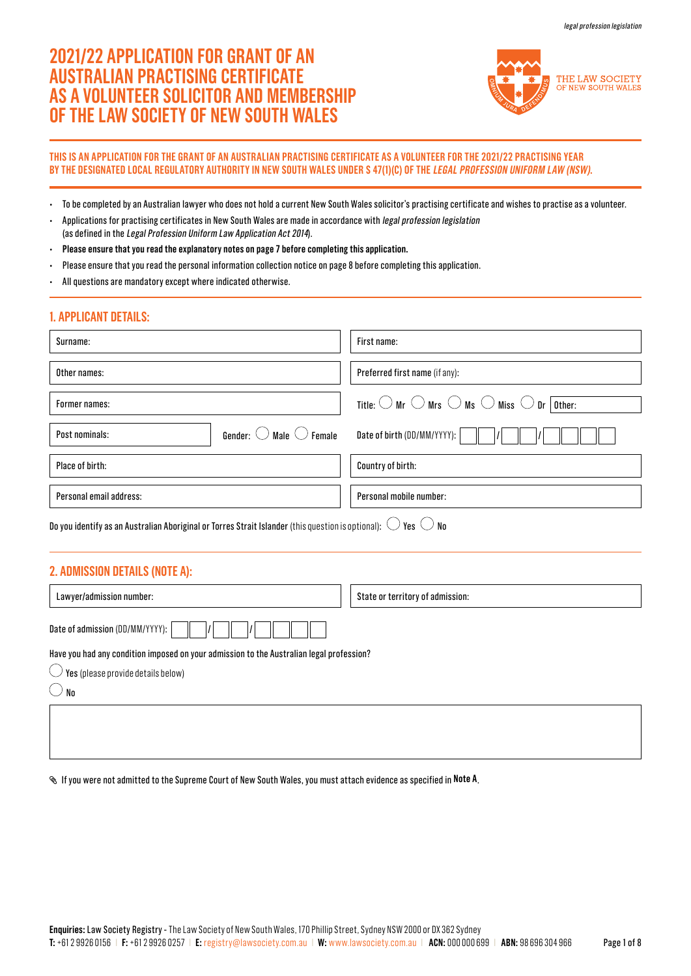# **2021/22 APPLICATION FOR GRANT OF AN AUSTRALIAN PRACTISING CERTIFICATE AS A VOLUNTEER SOLICITOR AND MEMBERSHIP OF THE LAW SOCIETY OF NEW SOUTH WALES**



## **THIS IS AN APPLICATION FOR THE GRANT OF AN AUSTRALIAN PRACTISING CERTIFICATE AS A VOLUNTEER FOR THE 2021/22 PRACTISING YEAR BY THE DESIGNATED LOCAL REGULATORY AUTHORITY IN NEW SOUTH WALES UNDER S 47(1)(C) OF THE LEGAL PROFESSION UNIFORM LAW (NSW).**

- To be completed by an Australian lawyer who does not hold a current New South Wales solicitor's practising certificate and wishes to practise as a volunteer.
- Applications for practising certificates in New South Wales are made in accordance with legal profession legislation (as defined in the Legal Profession Uniform Law Application Act 2014).
- **Please ensure that you read the explanatory notes on page 7 before completing this application.**
- Please ensure that you read the personal information collection notice on page 8 before completing this application.
- All questions are mandatory except where indicated otherwise.

# **1. APPLICANT DETAILS:**

| Surname:                                                                                                                      | First name:                                                                                       |
|-------------------------------------------------------------------------------------------------------------------------------|---------------------------------------------------------------------------------------------------|
| Other names:                                                                                                                  | Preferred first name (if any):                                                                    |
| Former names:                                                                                                                 | Title: $\bigcirc$ Mr $\bigcirc$ Mrs $\bigcirc$ Ms $\bigcirc$ Miss $\bigcirc$ Dr $\boxed{0}$ ther: |
| Gender: $\bigcirc$ Male $\bigcirc$ Female<br>Post nominals:                                                                   | Date of birth (DD/MM/YYYY):                                                                       |
| Place of birth:                                                                                                               | Country of birth:                                                                                 |
| Personal email address:                                                                                                       | Personal mobile number:                                                                           |
| Do you identify as an Australian Aboriginal or Torres Strait Islander (this question is optional): $\cup$ Yes $\circ$ No $\,$ |                                                                                                   |

# **2. ADMISSION DETAILS (NOTE A):**

| Lawyer/admission number:                                                                                                                                                              | State or territory of admission: |
|---------------------------------------------------------------------------------------------------------------------------------------------------------------------------------------|----------------------------------|
| Date of admission (DD/MM/YYYY):                                                                                                                                                       |                                  |
| Have you had any condition imposed on your admission to the Australian legal profession?<br>$\overline{\mathcal{L}}$ Yes (please provide details below)<br>$^{\prime}$ No $^{\prime}$ |                                  |
|                                                                                                                                                                                       |                                  |

If you were not admitted to the Supreme Court of New South Wales, you must attach evidence as specified in **Note A**.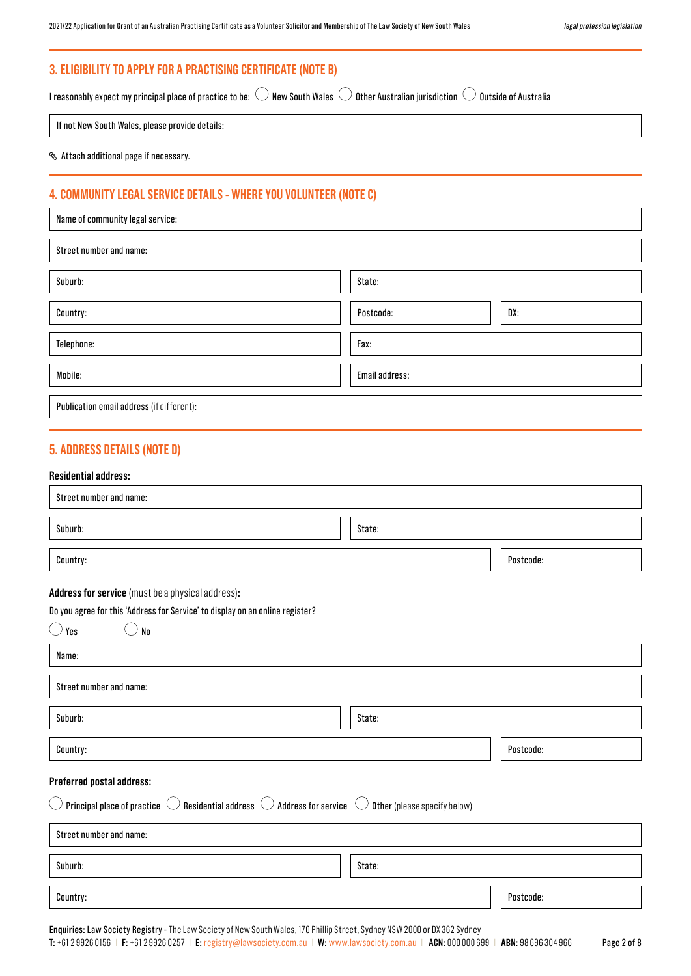# **3. ELIGIBILITY TO APPLY FOR A PRACTISING CERTIFICATE (NOTE B)**

I reasonably expect my principal place of practice to be:  $\bigcirc$  New South Wales  $\bigcirc$  Other Australian jurisdiction  $\bigcirc$  Outside of Australia

If not New South Wales, please provide details:

Attach additional page if necessary.

# **4. COMMUNITY LEGAL SERVICE DETAILS - WHERE YOU VOLUNTEER (NOTE C)**

| Name of community legal service:          |                  |
|-------------------------------------------|------------------|
| Street number and name:                   |                  |
| Suburb:                                   | State:           |
| Country:                                  | DX:<br>Postcode: |
| Telephone:                                | Fax:             |
| Mobile:                                   | Email address:   |
| Publication email address (if different): |                  |

# **5. ADDRESS DETAILS (NOTE D)**

## **Residential address:**

| Street number and name:                                                                                                                                                          |        |           |
|----------------------------------------------------------------------------------------------------------------------------------------------------------------------------------|--------|-----------|
| Suburb:                                                                                                                                                                          | State: |           |
| Country:                                                                                                                                                                         |        | Postcode: |
| Address for service (must be a physical address):                                                                                                                                |        |           |
| Do you agree for this 'Address for Service' to display on an online register?                                                                                                    |        |           |
| $\bigcirc$ Yes<br>$\mathsf{No}$                                                                                                                                                  |        |           |
| Name:                                                                                                                                                                            |        |           |
| Street number and name:                                                                                                                                                          |        |           |
| Suburb:                                                                                                                                                                          | State: |           |
| Country:                                                                                                                                                                         |        | Postcode: |
| Preferred postal address:                                                                                                                                                        |        |           |
| $\circlearrowright$ Principal place of practice $\circlearrowright$ Residential address $\circlearrowright$ Address for service $\circlearrowright$ Other (please specify below) |        |           |
| Street number and name:                                                                                                                                                          |        |           |
| Suburb:                                                                                                                                                                          | State: |           |
| Country:                                                                                                                                                                         |        | Postcode: |

**Enquiries:** Law Society Registry - The Law Society of New South Wales, 170 Phillip Street, Sydney NSW 2000 or DX 362 Sydney **T:** +61 2 9926 0156 | **F:** +61 2 9926 0257 | **E:** [registry@lawsociety.com.au](mailto:registry%40lawsociety.com.au?subject=) | **W:** <www.lawsociety.com.au> | **ACN:** 000 000 699 | **ABN:** 98 696 304 966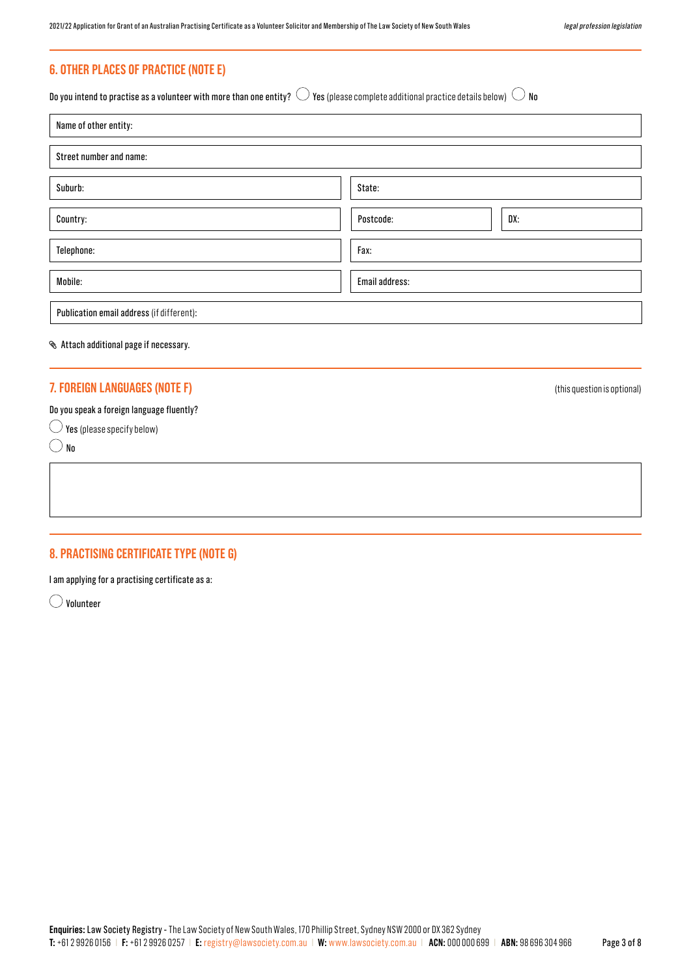# **6. OTHER PLACES OF PRACTICE (NOTE E)**

Do you intend to practise as a volunteer with more than one entity?  $\bigcirc$  Yes (please complete additional practice details below)  $\bigcirc$  No

| Name of other entity:                     |                  |
|-------------------------------------------|------------------|
| Street number and name:                   |                  |
| Suburb:                                   | State:           |
| Country:                                  | DX:<br>Postcode: |
| Telephone:                                | Fax:             |
| Mobile:                                   | Email address:   |
| Publication email address (if different): |                  |

#### Attach additional page if necessary.

## **7. FOREIGN LANGUAGES (NOTE F)** (this question is optional)

## Do you speak a foreign language fluently?

 $\bigcirc$  Yes (please specify below)

 $\bigcirc$  No

# **8. PRACTISING CERTIFICATE TYPE (NOTE G)**

I am applying for a practising certificate as a:

Volunteer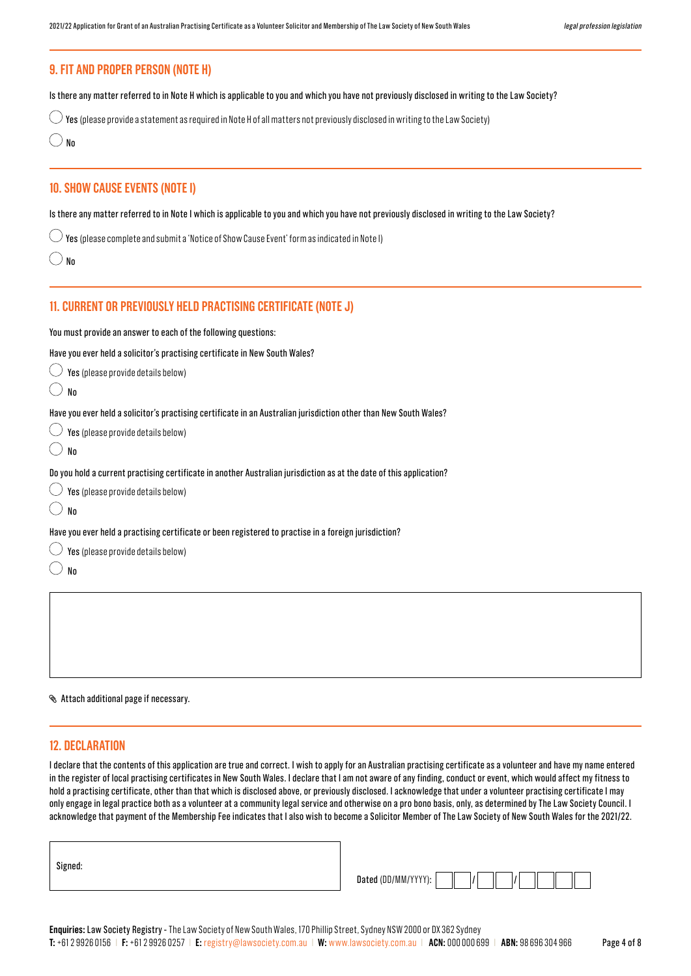# **10. SHOW CAUSE EVENTS (NOTE I)** Is there any matter referred to in Note I which is applicable to you and which you have not previously disclosed in writing to the Law Society?  $\bigcirc$  Yes (please complete and submit a 'Notice of Show Cause Event' form as indicated in Note I)  $\bigcirc$  No **9. FIT AND PROPER PERSON (NOTE H)**  Is there any matter referred to in Note H which is applicable to you and which you have not previously disclosed in writing to the Law Society?  $\bigcirc$  Yes (please provide a statement as required in Note H of all matters not previously disclosed in writing to the Law Society)  $\bigcirc$  No

# **11. CURRENT OR PREVIOUSLY HELD PRACTISING CERTIFICATE (NOTE J)**

You must provide an answer to each of the following questions:

Have you ever held a solicitor's practising certificate in New South Wales?

| $\bigcirc$ Yes (please provide details below) |
|-----------------------------------------------|
|                                               |

| ۰, | ×<br>× |
|----|--------|

 $\bigcirc$  No

Have you ever held a solicitor's practising certificate in an Australian jurisdiction other than New South Wales?

| Yes (please provide details below)                                                                                                                                   |
|----------------------------------------------------------------------------------------------------------------------------------------------------------------------|
| No                                                                                                                                                                   |
| Do you hold a current practising certificate in another Australian jurisdiction as at the date of this application?<br>$\bigcirc$ Yes (please provide details below) |
| Nn                                                                                                                                                                   |
| Have you ever held a practising certificate or been registered to practise in a foreign jurisdiction?                                                                |
| Yes (please provide details below)                                                                                                                                   |

Attach additional page if necessary.

#### **12. DECLARATION**

I declare that the contents of this application are true and correct. I wish to apply for an Australian practising certificate as a volunteer and have my name entered in the register of local practising certificates in New South Wales. I declare that I am not aware of any finding, conduct or event, which would affect my fitness to hold a practising certificate, other than that which is disclosed above, or previously disclosed. I acknowledge that under a volunteer practising certificate I may only engage in legal practice both as a volunteer at a community legal service and otherwise on a pro bono basis, only, as determined by The Law Society Council. I acknowledge that payment of the Membership Fee indicates that I also wish to become a Solicitor Member of The Law Society of New South Wales for the 2021/22.

| Dated (DD/MM/YY' |  |  |
|------------------|--|--|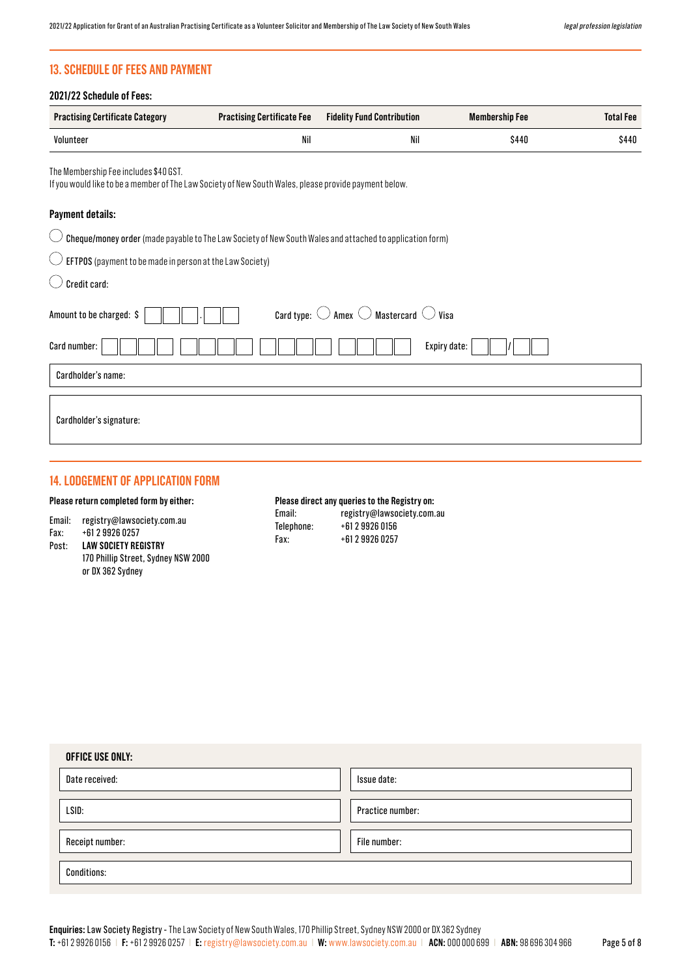# **13. SCHEDULE OF FEES AND PAYMENT**

| <b>Practising Certificate Category</b>                                                                                                         | <b>Practising Certificate Fee</b> | <b>Fidelity Fund Contribution</b>                                | <b>Membership Fee</b> | <b>Total Fee</b> |
|------------------------------------------------------------------------------------------------------------------------------------------------|-----------------------------------|------------------------------------------------------------------|-----------------------|------------------|
| Volunteer                                                                                                                                      | Nil                               | Nil                                                              | \$440                 | \$440            |
| The Membership Fee includes \$40 GST.<br>If you would like to be a member of The Law Society of New South Wales, please provide payment below. |                                   |                                                                  |                       |                  |
| <b>Payment details:</b>                                                                                                                        |                                   |                                                                  |                       |                  |
| Cheque/money order (made payable to The Law Society of New South Wales and attached to application form)                                       |                                   |                                                                  |                       |                  |
| EFTPOS (payment to be made in person at the Law Society)                                                                                       |                                   |                                                                  |                       |                  |
| Credit card:                                                                                                                                   |                                   |                                                                  |                       |                  |
| Amount to be charged: \$                                                                                                                       |                                   | Card type: $\bigcirc$ Amex $\bigcirc$ Mastercard $\bigcirc$ Visa |                       |                  |
| Card number:                                                                                                                                   |                                   |                                                                  | Expiry date:          |                  |
| Cardholder's name:                                                                                                                             |                                   |                                                                  |                       |                  |
| Cardholder's signature:                                                                                                                        |                                   |                                                                  |                       |                  |

# **14. LODGEMENT OF APPLICATION FORM**

#### **Please return completed form by either:**

|  | Email: | registry@lawsociety.com.au |
|--|--------|----------------------------|
|--|--------|----------------------------|

- Fax: +61 2 9926 0257
- Post: **LAW SOCIETY REGISTRY**  170 Phillip Street, Sydney NSW 2000 or DX 362 Sydney

# **Please direct any queries to the Registry on:**

| Email:     | registry@lawsociety.com.au |
|------------|----------------------------|
| Telephone: | +61 2 9926 0156            |
| Fax:       | +61 2 9926 0257            |

| <b>OFFICE USE ONLY:</b> |                  |  |
|-------------------------|------------------|--|
| Date received:          | Issue date:      |  |
| LSID:                   | Practice number: |  |
| Receipt number:         | File number:     |  |
| <b>Conditions:</b>      |                  |  |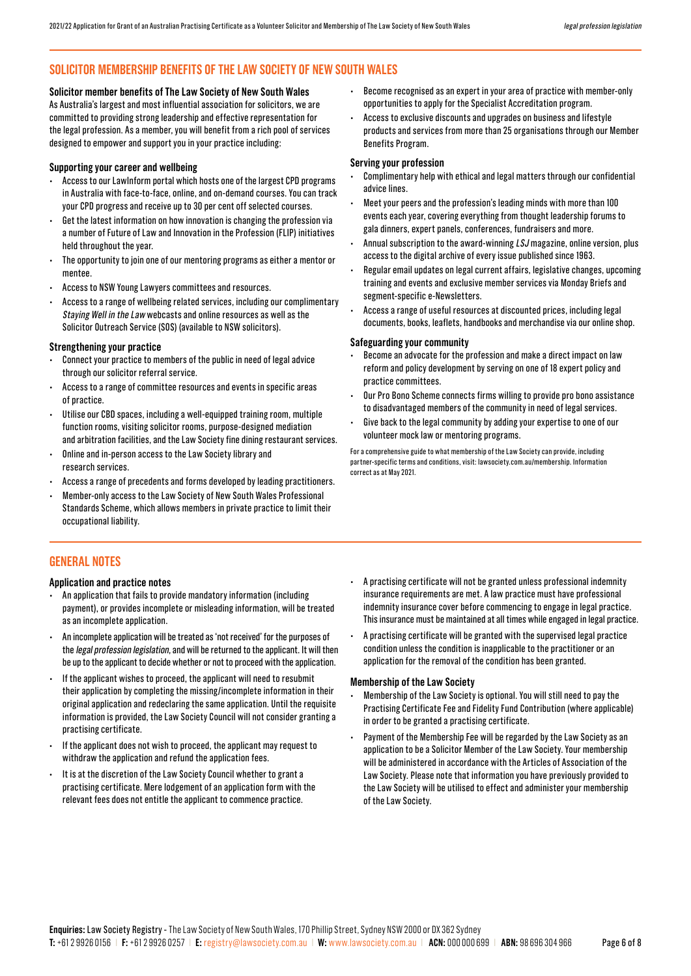# **SOLICITOR MEMBERSHIP BENEFITS OF THE LAW SOCIETY OF NEW SOUTH WALES**

#### **Solicitor member benefits of The Law Society of New South Wales**

As Australia's largest and most influential association for solicitors, we are committed to providing strong leadership and effective representation for the legal profession. As a member, you will benefit from a rich pool of services designed to empower and support you in your practice including:

#### **Supporting your career and wellbeing**

- Access to our LawInform portal which hosts one of the largest CPD programs in Australia with face-to-face, online, and on-demand courses. You can track your CPD progress and receive up to 30 per cent off selected courses.
- Get the latest information on how innovation is changing the profession via a number of Future of Law and Innovation in the Profession (FLIP) initiatives held throughout the year.
- The opportunity to join one of our mentoring programs as either a mentor or mentee.
- Access to NSW Young Lawyers committees and resources.
- Access to a range of wellbeing related services, including our complimentary Staying Well in the Law webcasts and online resources as well as the Solicitor Outreach Service (SOS) (available to NSW solicitors).

#### **Strengthening your practice**

- Connect your practice to members of the public in need of legal advice through our solicitor referral service.
- Access to a range of committee resources and events in specific areas of practice.
- Utilise our CBD spaces, including a well-equipped training room, multiple function rooms, visiting solicitor rooms, purpose-designed mediation and arbitration facilities, and the Law Society fine dining restaurant services.
- Online and in-person access to the Law Society library and research services.
- Access a range of precedents and forms developed by leading practitioners.
- Member-only access to the Law Society of New South Wales Professional Standards Scheme, which allows members in private practice to limit their occupational liability.
- Become recognised as an expert in your area of practice with member-only opportunities to apply for the Specialist Accreditation program.
- Access to exclusive discounts and upgrades on business and lifestyle products and services from more than 25 organisations through our Member Benefits Program.

#### **Serving your profession**

- Complimentary help with ethical and legal matters through our confidential advice lines.
- Meet your peers and the profession's leading minds with more than 100 events each year, covering everything from thought leadership forums to gala dinners, expert panels, conferences, fundraisers and more.
- Annual subscription to the award-winning LSJ magazine, online version, plus access to the digital archive of every issue published since 1963.
- Regular email updates on legal current affairs, legislative changes, upcoming training and events and exclusive member services via Monday Briefs and segment-specific e-Newsletters.
- Access a range of useful resources at discounted prices, including legal documents, books, leaflets, handbooks and merchandise via our online shop.

#### **Safeguarding your community**

- Become an advocate for the profession and make a direct impact on law reform and policy development by serving on one of 18 expert policy and practice committees.
- Our Pro Bono Scheme connects firms willing to provide pro bono assistance to disadvantaged members of the community in need of legal services.
- Give back to the legal community by adding your expertise to one of our volunteer mock law or mentoring programs.

For a comprehensive guide to what membership of the Law Society can provide, including partner-specific terms and conditions, visit: lawsociety.com.au/membership. Information correct as at May 2021.

# **GENERAL NOTES**

#### **Application and practice notes**

- An application that fails to provide mandatory information (including payment), or provides incomplete or misleading information, will be treated as an incomplete application.
- An incomplete application will be treated as 'not received' for the purposes of the legal profession legislation, and will be returned to the applicant. It will then be up to the applicant to decide whether or not to proceed with the application.
- If the applicant wishes to proceed, the applicant will need to resubmit their application by completing the missing/incomplete information in their original application and redeclaring the same application. Until the requisite information is provided, the Law Society Council will not consider granting a practising certificate.
- If the applicant does not wish to proceed, the applicant may request to withdraw the application and refund the application fees.
- It is at the discretion of the Law Society Council whether to grant a practising certificate. Mere lodgement of an application form with the relevant fees does not entitle the applicant to commence practice.
- A practising certificate will not be granted unless professional indemnity insurance requirements are met. A law practice must have professional indemnity insurance cover before commencing to engage in legal practice. This insurance must be maintained at all times while engaged in legal practice.
- A practising certificate will be granted with the supervised legal practice condition unless the condition is inapplicable to the practitioner or an application for the removal of the condition has been granted.

#### **Membership of the Law Society**

- Membership of the Law Society is optional. You will still need to pay the Practising Certificate Fee and Fidelity Fund Contribution (where applicable) in order to be granted a practising certificate.
- Payment of the Membership Fee will be regarded by the Law Society as an application to be a Solicitor Member of the Law Society. Your membership will be administered in accordance with the Articles of Association of the Law Society. Please note that information you have previously provided to the Law Society will be utilised to effect and administer your membership of the Law Society.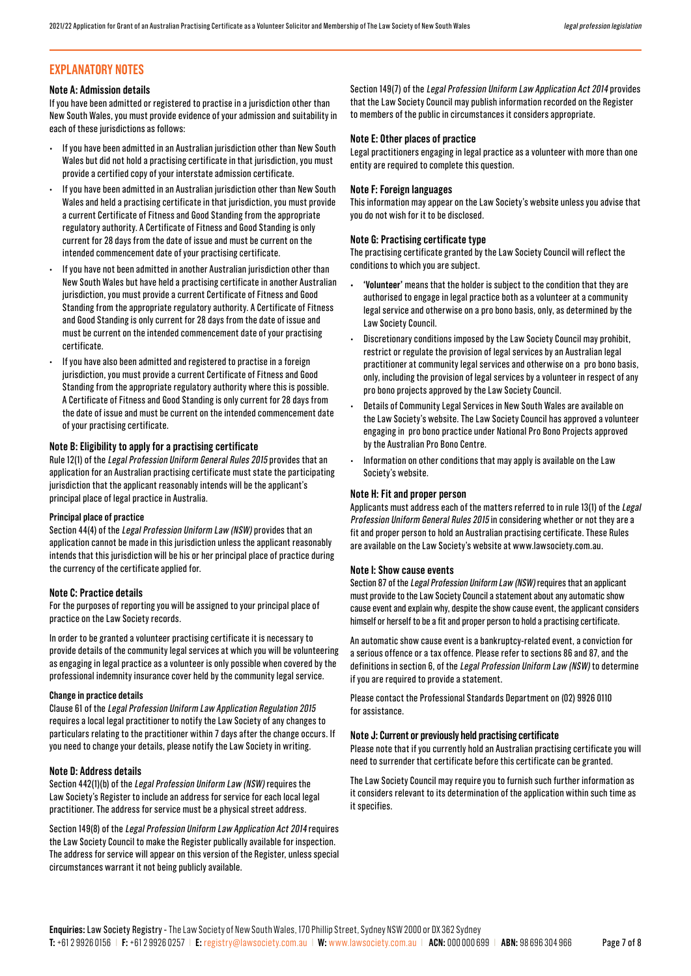# **EXPLANATORY NOTES**

#### **Note A: Admission details**

If you have been admitted or registered to practise in a jurisdiction other than New South Wales, you must provide evidence of your admission and suitability in each of these jurisdictions as follows:

- If you have been admitted in an Australian jurisdiction other than New South Wales but did not hold a practising certificate in that jurisdiction, you must provide a certified copy of your interstate admission certificate.
- If you have been admitted in an Australian jurisdiction other than New South Wales and held a practising certificate in that jurisdiction, you must provide a current Certificate of Fitness and Good Standing from the appropriate regulatory authority. A Certificate of Fitness and Good Standing is only current for 28 days from the date of issue and must be current on the intended commencement date of your practising certificate.
- If you have not been admitted in another Australian jurisdiction other than New South Wales but have held a practising certificate in another Australian jurisdiction, you must provide a current Certificate of Fitness and Good Standing from the appropriate regulatory authority. A Certificate of Fitness and Good Standing is only current for 28 days from the date of issue and must be current on the intended commencement date of your practising certificate.
- If you have also been admitted and registered to practise in a foreign jurisdiction, you must provide a current Certificate of Fitness and Good Standing from the appropriate regulatory authority where this is possible. A Certificate of Fitness and Good Standing is only current for 28 days from the date of issue and must be current on the intended commencement date of your practising certificate.

#### **Note B: Eligibility to apply for a practising certificate**

Rule 12(1) of the Legal Profession Uniform General Rules 2015 provides that an application for an Australian practising certificate must state the participating jurisdiction that the applicant reasonably intends will be the applicant's principal place of legal practice in Australia.

#### **Principal place of practice**

Section 44(4) of the Legal Profession Uniform Law (NSW) provides that an application cannot be made in this jurisdiction unless the applicant reasonably intends that this jurisdiction will be his or her principal place of practice during the currency of the certificate applied for.

#### **Note C: Practice details**

For the purposes of reporting you will be assigned to your principal place of practice on the Law Society records.

In order to be granted a volunteer practising certificate it is necessary to provide details of the community legal services at which you will be volunteering as engaging in legal practice as a volunteer is only possible when covered by the professional indemnity insurance cover held by the community legal service.

#### **Change in practice details**

Clause 61 of the Legal Profession Uniform Law Application Regulation 2015 requires a local legal practitioner to notify the Law Society of any changes to particulars relating to the practitioner within 7 days after the change occurs. If you need to change your details, please notify the Law Society in writing.

#### **Note D: Address details**

Section 442(1)(b) of the Legal Profession Uniform Law (NSW) requires the Law Society's Register to include an address for service for each local legal practitioner. The address for service must be a physical street address.

Section 149(8) of the Legal Profession Uniform Law Application Act 2014 requires the Law Society Council to make the Register publically available for inspection. The address for service will appear on this version of the Register, unless special circumstances warrant it not being publicly available.

Section 149(7) of the Legal Profession Uniform Law Application Act 2014 provides that the Law Society Council may publish information recorded on the Register to members of the public in circumstances it considers appropriate.

#### **Note E: Other places of practice**

Legal practitioners engaging in legal practice as a volunteer with more than one entity are required to complete this question.

#### **Note F: Foreign languages**

This information may appear on the Law Society's website unless you advise that you do not wish for it to be disclosed.

#### **Note G: Practising certificate type**

The practising certificate granted by the Law Society Council will reflect the conditions to which you are subject.

- **• 'Volunteer'** means that the holder is subject to the condition that they are authorised to engage in legal practice both as a volunteer at a community legal service and otherwise on a pro bono basis, only, as determined by the Law Society Council.
- Discretionary conditions imposed by the Law Society Council may prohibit, restrict or regulate the provision of legal services by an Australian legal practitioner at community legal services and otherwise on a pro bono basis, only, including the provision of legal services by a volunteer in respect of any pro bono projects approved by the Law Society Council.
- Details of Community Legal Services in New South Wales are available on the Law Society's website. The Law Society Council has approved a volunteer engaging in pro bono practice under National Pro Bono Projects approved by the Australian Pro Bono Centre.
- Information on other conditions that may apply is available on the Law Society's website.

#### **Note H: Fit and proper person**

Applicants must address each of the matters referred to in rule 13(1) of the Legal Profession Uniform General Rules 2015 in considering whether or not they are a fit and proper person to hold an Australian practising certificate. These Rules are available on the Law Society's website at www.lawsociety.com.au.

#### **Note I: Show cause events**

Section 87 of the Legal Profession Uniform Law (NSW) requires that an applicant must provide to the Law Society Council a statement about any automatic show cause event and explain why, despite the show cause event, the applicant considers himself or herself to be a fit and proper person to hold a practising certificate.

An automatic show cause event is a bankruptcy-related event, a conviction for a serious offence or a tax offence. Please refer to sections 86 and 87, and the definitions in section 6, of the Legal Profession Uniform Law (NSW) to determine if you are required to provide a statement.

Please contact the Professional Standards Department on (02) 9926 0110 for assistance.

#### **Note J: Current or previously held practising certificate**

Please note that if you currently hold an Australian practising certificate you will need to surrender that certificate before this certificate can be granted.

The Law Society Council may require you to furnish such further information as it considers relevant to its determination of the application within such time as it specifies.